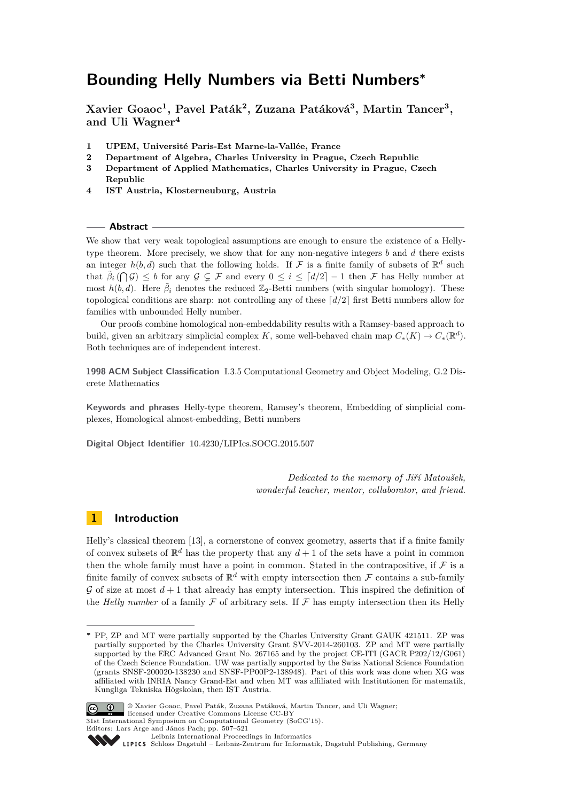**Xavier Goaoc<sup>1</sup> , Pavel Paták<sup>2</sup> , Zuzana Patáková<sup>3</sup> , Martin Tancer<sup>3</sup> , and Uli Wagner<sup>4</sup>**

- **1 UPEM, Université Paris-Est Marne-la-Vallée, France**
- **2 Department of Algebra, Charles University in Prague, Czech Republic**
- **3 Department of Applied Mathematics, Charles University in Prague, Czech Republic**
- **4 IST Austria, Klosterneuburg, Austria**

#### **Abstract**

We show that very weak topological assumptions are enough to ensure the existence of a Hellytype theorem. More precisely, we show that for any non-negative integers *b* and *d* there exists an integer  $h(b, d)$  such that the following holds. If  $\mathcal F$  is a finite family of subsets of  $\mathbb R^d$  such that  $\tilde{\beta}_i(\bigcap \mathcal{G}) \leq b$  for any  $\mathcal{G} \subsetneq \mathcal{F}$  and every  $0 \leq i \leq \lceil d/2 \rceil - 1$  then  $\mathcal{F}$  has Helly number at most  $h(b, d)$ . Here  $\tilde{\beta}_i$  denotes the reduced  $\mathbb{Z}_2$ -Betti numbers (with singular homology). These topological conditions are sharp: not controlling any of these  $\lceil d/2 \rceil$  first Betti numbers allow for families with unbounded Helly number.

Our proofs combine homological non-embeddability results with a Ramsey-based approach to build, given an arbitrary simplicial complex *K*, some well-behaved chain map  $C_*(K) \to C_*(\mathbb{R}^d)$ . Both techniques are of independent interest.

**1998 ACM Subject Classification** I.3.5 Computational Geometry and Object Modeling, G.2 Discrete Mathematics

**Keywords and phrases** Helly-type theorem, Ramsey's theorem, Embedding of simplicial complexes, Homological almost-embedding, Betti numbers

**Digital Object Identifier** [10.4230/LIPIcs.SOCG.2015.507](http://dx.doi.org/10.4230/LIPIcs.SOCG.2015.507)

*Dedicated to the memory of Jiří Matoušek, wonderful teacher, mentor, collaborator, and friend.*

### **1 Introduction**

Helly's classical theorem [\[13\]](#page-13-0), a cornerstone of convex geometry, asserts that if a finite family of convex subsets of  $\mathbb{R}^d$  has the property that any  $d+1$  of the sets have a point in common then the whole family must have a point in common. Stated in the contrapositive, if  $\mathcal F$  is a finite family of convex subsets of  $\mathbb{R}^d$  with empty intersection then  $\mathcal F$  contains a sub-family  $\mathcal G$  of size at most  $d+1$  that already has empty intersection. This inspired the definition of the *Helly number* of a family  $\mathcal F$  of arbitrary sets. If  $\mathcal F$  has empty intersection then its Helly

**<sup>∗</sup>** PP, ZP and MT were partially supported by the Charles University Grant GAUK 421511. ZP was partially supported by the Charles University Grant SVV-2014-260103. ZP and MT were partially supported by the ERC Advanced Grant No. 267165 and by the project CE-ITI (GACR P202/12/G061) of the Czech Science Foundation. UW was partially supported by the Swiss National Science Foundation (grants SNSF-200020-138230 and SNSF-PP00P2-138948). Part of this work was done when XG was affiliated with INRIA Nancy Grand-Est and when MT was affiliated with Institutionen för matematik, Kungliga Tekniska Högskolan, then IST Austria.



© Xavier Goaoc, Pavel Paták, Zuzana Patáková, Martin Tancer, and Uli Wagner; licensed under Creative Commons License CC-BY 31st International Symposium on Computational Geometry (SoCG'15).

Editors: Lars Arge and János Pach; pp. 507[–521](#page-14-0)

[Leibniz International Proceedings in Informatics](http://www.dagstuhl.de/lipics/)

[Schloss Dagstuhl – Leibniz-Zentrum für Informatik, Dagstuhl Publishing, Germany](http://www.dagstuhl.de)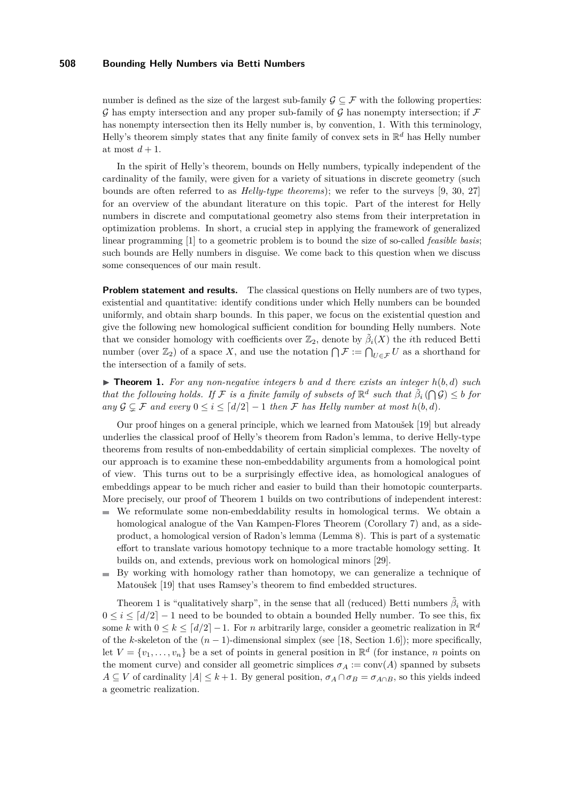number is defined as the size of the largest sub-family  $\mathcal{G} \subset \mathcal{F}$  with the following properties: G has empty intersection and any proper sub-family of G has nonempty intersection; if  $\mathcal F$ has nonempty intersection then its Helly number is, by convention, 1. With this terminology, Helly's theorem simply states that any finite family of convex sets in R *<sup>d</sup>* has Helly number at most  $d+1$ .

In the spirit of Helly's theorem, bounds on Helly numbers, typically independent of the cardinality of the family, were given for a variety of situations in discrete geometry (such bounds are often referred to as *Helly-type theorems*); we refer to the surveys [\[9,](#page-13-1) [30,](#page-14-1) [27\]](#page-14-2) for an overview of the abundant literature on this topic. Part of the interest for Helly numbers in discrete and computational geometry also stems from their interpretation in optimization problems. In short, a crucial step in applying the framework of generalized linear programming [\[1\]](#page-13-2) to a geometric problem is to bound the size of so-called *feasible basis*; such bounds are Helly numbers in disguise. We come back to this question when we discuss some consequences of our main result.

**Problem statement and results.** The classical questions on Helly numbers are of two types, existential and quantitative: identify conditions under which Helly numbers can be bounded uniformly, and obtain sharp bounds. In this paper, we focus on the existential question and give the following new homological sufficient condition for bounding Helly numbers. Note that we consider homology with coefficients over  $\mathbb{Z}_2$ , denote by  $\tilde{\beta}_i(X)$  the *i*th reduced Betti number (over  $\mathbb{Z}_2$ ) of a space X, and use the notation  $\bigcap \mathcal{F} := \bigcap_{U \in \mathcal{F}} U$  as a shorthand for the intersection of a family of sets.

<span id="page-1-0"></span> $\triangleright$  **Theorem 1.** For any non-negative integers b and d there exists an integer  $h(b, d)$  such *that the following holds. If*  $\mathcal{F}$  *is a finite family of subsets of*  $\mathbb{R}^d$  *such that*  $\tilde{\beta}_i(\bigcap \mathcal{G}) \leq b$  *for any*  $G ⊆ F$  *and every*  $0 ≤ i ≤ [d/2] − 1$  *then*  $F$  *has Helly number at most*  $h(b, d)$ *.* 

Our proof hinges on a general principle, which we learned from Matoušek [\[19\]](#page-14-3) but already underlies the classical proof of Helly's theorem from Radon's lemma, to derive Helly-type theorems from results of non-embeddability of certain simplicial complexes. The novelty of our approach is to examine these non-embeddability arguments from a homological point of view. This turns out to be a surprisingly effective idea, as homological analogues of embeddings appear to be much richer and easier to build than their homotopic counterparts. More precisely, our proof of Theorem [1](#page-1-0) builds on two contributions of independent interest:

- We reformulate some non-embeddability results in homological terms. We obtain a  $\bar{a}$ homological analogue of the Van Kampen-Flores Theorem (Corollary [7\)](#page-6-0) and, as a sideproduct, a homological version of Radon's lemma (Lemma [8\)](#page-6-1). This is part of a systematic effort to translate various homotopy technique to a more tractable homology setting. It builds on, and extends, previous work on homological minors [\[29\]](#page-14-4).
- By working with homology rather than homotopy, we can generalize a technique of Matoušek [\[19\]](#page-14-3) that uses Ramsey's theorem to find embedded structures.

Theorem [1](#page-1-0) is "qualitatively sharp", in the sense that all (reduced) Betti numbers  $\tilde{\beta}_i$  with  $0 \le i \le [d/2]-1$  need to be bounded to obtain a bounded Helly number. To see this, fix some *k* with  $0 \le k \le \lceil d/2 \rceil - 1$ . For *n* arbitrarily large, consider a geometric realization in  $\mathbb{R}^d$ of the *k*-skeleton of the  $(n-1)$ -dimensional simplex (see [\[18,](#page-14-5) Section 1.6]); more specifically, let  $V = \{v_1, \ldots, v_n\}$  be a set of points in general position in  $\mathbb{R}^d$  (for instance, *n* points on the moment curve) and consider all geometric simplices  $\sigma_A := \text{conv}(A)$  spanned by subsets  $A \subseteq V$  of cardinality  $|A| \leq k+1$ . By general position,  $\sigma_A \cap \sigma_B = \sigma_{A \cap B}$ , so this yields indeed a geometric realization.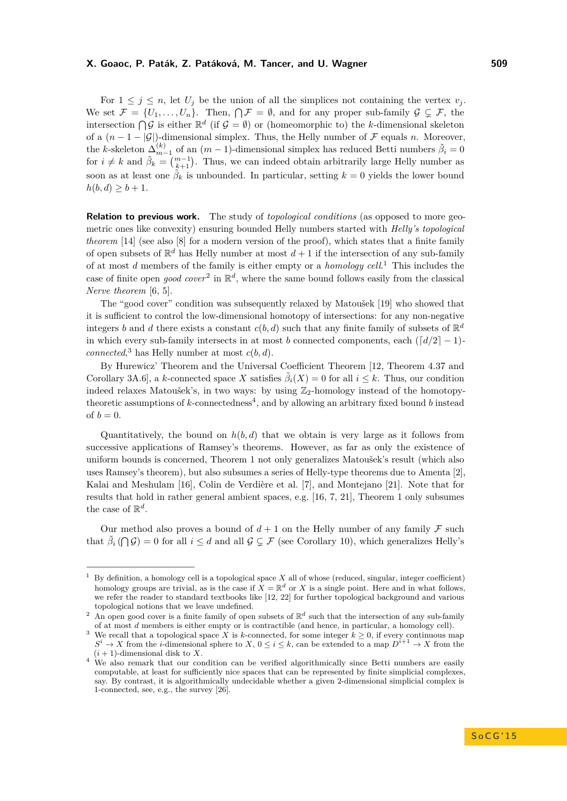For  $1 \leq j \leq n$ , let  $U_j$  be the union of all the simplices not containing the vertex  $v_j$ . We set  $\mathcal{F} = \{U_1, \ldots, U_n\}$ . Then,  $\bigcap \mathcal{F} = \emptyset$ , and for any proper sub-family  $\mathcal{G} \subsetneq \mathcal{F}$ , the intersection  $\bigcap \mathcal{G}$  is either  $\mathbb{R}^d$  (if  $\mathcal{G} = \emptyset$ ) or (homeomorphic to) the *k*-dimensional skeleton of a  $(n-1-|\mathcal{G}|)$ -dimensional simplex. Thus, the Helly number of F equals *n*. Moreover, the *k*-skeleton  $\Delta_{m-1}^{(k)}$  of an  $(m-1)$ -dimensional simplex has reduced Betti numbers  $\tilde{\beta}_i = 0$ for  $i \neq k$  and  $\tilde{\beta}_k = \binom{m-1}{k+1}$ . Thus, we can indeed obtain arbitrarily large Helly number as soon as at least one  $\tilde{\beta}_k$  is unbounded. In particular, setting  $k = 0$  yields the lower bound  $h(b, d) \geq b + 1.$ 

**Relation to previous work.** The study of *topological conditions* (as opposed to more geometric ones like convexity) ensuring bounded Helly numbers started with *Helly's topological theorem* [\[14\]](#page-13-3) (see also [\[8\]](#page-13-4) for a modern version of the proof), which states that a finite family of open subsets of  $\mathbb{R}^d$  has Helly number at most  $d+1$  if the intersection of any sub-family of at most *d* members of the family is either empty or a *homology cell*. [1](#page-2-0) This includes the case of finite open *good cover*<sup>[2](#page-2-1)</sup> in  $\mathbb{R}^d$ , where the same bound follows easily from the classical *Nerve theorem* [\[6,](#page-13-5) [5\]](#page-13-6).

The "good cover" condition was subsequently relaxed by Matoušek [\[19\]](#page-14-3) who showed that it is sufficient to control the low-dimensional homotopy of intersections: for any non-negative integers *b* and *d* there exists a constant  $c(b, d)$  such that any finite family of subsets of  $\mathbb{R}^d$ in which every sub-family intersects in at most *b* connected components, each  $\left(\frac{d}{2} - 1\right)$ *connected*<sup>[3](#page-2-2)</sup> has Helly number at most  $c(b, d)$ .

By Hurewicz' Theorem and the Universal Coefficient Theorem [\[12,](#page-13-7) Theorem 4.37 and Corollary 3A.6, a *k*-connected space *X* satisfies  $\tilde{\beta}_i(X) = 0$  for all  $i \leq k$ . Thus, our condition indeed relaxes Matoušek's, in two ways: by using  $\mathbb{Z}_2$ -homology instead of the homotopytheoretic assumptions of *k*-connectedness<sup>[4](#page-2-3)</sup>, and by allowing an arbitrary fixed bound *b* instead of  $b = 0$ .

Quantitatively, the bound on *h*(*b, d*) that we obtain is very large as it follows from successive applications of Ramsey's theorems. However, as far as only the existence of uniform bounds is concerned, Theorem [1](#page-1-0) not only generalizes Matoušek's result (which also uses Ramsey's theorem), but also subsumes a series of Helly-type theorems due to Amenta [\[2\]](#page-13-8), Kalai and Meshulam [\[16\]](#page-13-9), Colin de Verdière et al. [\[7\]](#page-13-10), and Montejano [\[21\]](#page-14-6). Note that for results that hold in rather general ambient spaces, e.g. [\[16,](#page-13-9) [7,](#page-13-10) [21\]](#page-14-6), Theorem [1](#page-1-0) only subsumes the case of  $\mathbb{R}^d$ .

Our method also proves a bound of  $d+1$  on the Helly number of any family  $\mathcal F$  such that  $\tilde{\beta}_i(\bigcap \mathcal{G}) = 0$  for all  $i \leq d$  and all  $\mathcal{G} \subsetneq \mathcal{F}$  (see Corollary [10\)](#page-8-0), which generalizes Helly's

<span id="page-2-0"></span><sup>&</sup>lt;sup>1</sup> By definition, a homology cell is a topological space  $X$  all of whose (reduced, singular, integer coefficient) homology groups are trivial, as is the case if  $X = \mathbb{R}^d$  or X is a single point. Here and in what follows, we refer the reader to standard textbooks like [\[12,](#page-13-7) [22\]](#page-14-7) for further topological background and various topological notions that we leave undefined.

<span id="page-2-1"></span><sup>&</sup>lt;sup>2</sup> An open good cover is a finite family of open subsets of  $\mathbb{R}^d$  such that the intersection of any sub-family of at most *d* members is either empty or is contractible (and hence, in particular, a homology cell).

<span id="page-2-2"></span><sup>&</sup>lt;sup>3</sup> We recall that a topological space *X* is *k*-connected, for some integer  $k \geq 0$ , if every continuous map  $S^i \to X$  from the *i*-dimensional sphere to *X*,  $0 \leq i \leq k$ , can be extended to a map  $D^{i+1} \to X$  from the  $(i + 1)$ -dimensional disk to X.

<span id="page-2-3"></span><sup>&</sup>lt;sup>4</sup> We also remark that our condition can be verified algorithmically since Betti numbers are easily computable, at least for sufficiently nice spaces that can be represented by finite simplicial complexes, say. By contrast, it is algorithmically undecidable whether a given 2-dimensional simplicial complex is 1-connected, see, e.g., the survey [\[26\]](#page-14-8).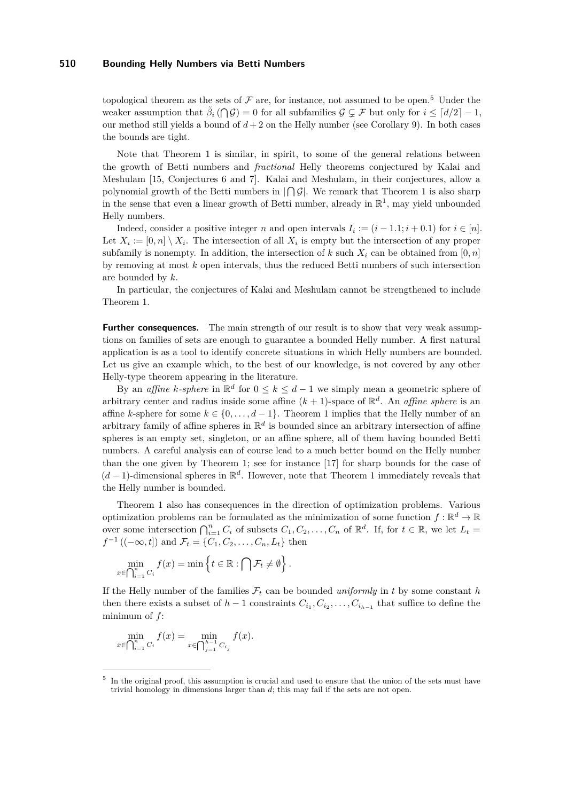topological theorem as the sets of  $\mathcal F$  are, for instance, not assumed to be open.<sup>[5](#page-3-0)</sup> Under the weaker assumption that  $\tilde{\beta}_i(\bigcap \mathcal{G}) = 0$  for all subfamilies  $\mathcal{G} \subsetneq \mathcal{F}$  but only for  $i \leq \lceil d/2 \rceil - 1$ , our method still yields a bound of  $d+2$  on the Helly number (see Corollary [9\)](#page-8-1). In both cases the bounds are tight.

Note that Theorem [1](#page-1-0) is similar, in spirit, to some of the general relations between the growth of Betti numbers and *fractional* Helly theorems conjectured by Kalai and Meshulam [\[15,](#page-13-11) Conjectures 6 and 7]. Kalai and Meshulam, in their conjectures, allow a polynomial growth of the Betti numbers in  $\log$ . We remark that Theorem [1](#page-1-0) is also sharp in the sense that even a linear growth of Betti number, already in  $\mathbb{R}^1$ , may yield unbounded Helly numbers.

Indeed, consider a positive integer *n* and open intervals  $I_i := (i - 1.1; i + 0.1)$  for  $i \in [n]$ . Let  $X_i := [0, n] \setminus X_i$ . The intersection of all  $X_i$  is empty but the intersection of any proper subfamily is nonempty. In addition, the intersection of  $k$  such  $X_i$  can be obtained from  $[0, n]$ by removing at most *k* open intervals, thus the reduced Betti numbers of such intersection are bounded by *k*.

In particular, the conjectures of Kalai and Meshulam cannot be strengthened to include Theorem [1.](#page-1-0)

**Further consequences.** The main strength of our result is to show that very weak assumptions on families of sets are enough to guarantee a bounded Helly number. A first natural application is as a tool to identify concrete situations in which Helly numbers are bounded. Let us give an example which, to the best of our knowledge, is not covered by any other Helly-type theorem appearing in the literature.

By an *affine k*-*sphere* in  $\mathbb{R}^d$  for  $0 \leq k \leq d-1$  we simply mean a geometric sphere of arbitrary center and radius inside some affine  $(k+1)$ -space of  $\mathbb{R}^d$ . An *affine sphere* is an affine *k*-sphere for some  $k \in \{0, \ldots, d-1\}$ . Theorem [1](#page-1-0) implies that the Helly number of an arbitrary family of affine spheres in  $\mathbb{R}^d$  is bounded since an arbitrary intersection of affine spheres is an empty set, singleton, or an affine sphere, all of them having bounded Betti numbers. A careful analysis can of course lead to a much better bound on the Helly number than the one given by Theorem [1;](#page-1-0) see for instance [\[17\]](#page-14-9) for sharp bounds for the case of (*d* − 1)-dimensional spheres in R *d* . However, note that Theorem [1](#page-1-0) immediately reveals that the Helly number is bounded.

Theorem [1](#page-1-0) also has consequences in the direction of optimization problems. Various optimization problems can be formulated as the minimization of some function  $f : \mathbb{R}^d \to \mathbb{R}$ over some intersection  $\bigcap_{i=1}^{n} C_i$  of subsets  $C_1, C_2, \ldots, C_n$  of  $\mathbb{R}^d$ . If, for  $t \in \mathbb{R}$ , we let  $L_t =$ *f*<sup>-1</sup> ((-∞*, t*]) and  $\mathcal{F}_t$  = { $C_1, C_2, ..., C_n, L_t$ } then

$$
\min_{x \in \bigcap_{i=1}^n C_i} f(x) = \min \left\{ t \in \mathbb{R} : \bigcap \mathcal{F}_t \neq \emptyset \right\}.
$$

If the Helly number of the families  $\mathcal{F}_t$  can be bounded *uniformly* in t by some constant h then there exists a subset of  $h-1$  constraints  $C_{i_1}, C_{i_2}, \ldots, C_{i_{h-1}}$  that suffice to define the minimum of *f*:

$$
\min_{x \in \bigcap_{i=1}^n C_i} f(x) = \min_{x \in \bigcap_{j=1}^{h-1} C_{i_j}} f(x).
$$

<span id="page-3-0"></span><sup>5</sup> In the original proof, this assumption is crucial and used to ensure that the union of the sets must have trivial homology in dimensions larger than *d*; this may fail if the sets are not open.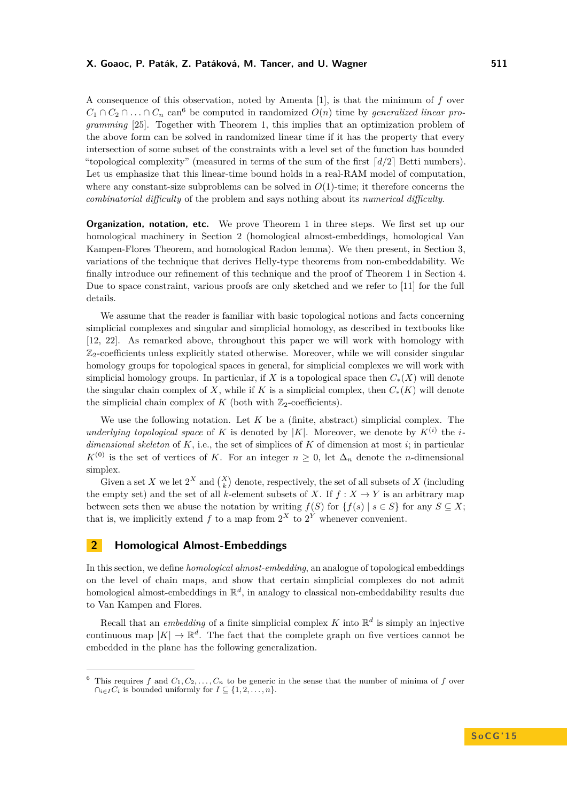A consequence of this observation, noted by Amenta [\[1\]](#page-13-2), is that the minimum of *f* over  $C_1 \cap C_2 \cap \ldots \cap C_n$  can<sup>[6](#page-4-0)</sup> be computed in randomized  $O(n)$  time by *generalized linear programming* [\[25\]](#page-14-10). Together with Theorem [1,](#page-1-0) this implies that an optimization problem of the above form can be solved in randomized linear time if it has the property that every intersection of some subset of the constraints with a level set of the function has bounded "topological complexity" (measured in terms of the sum of the first  $\lceil d/2 \rceil$  Betti numbers). Let us emphasize that this linear-time bound holds in a real-RAM model of computation, where any constant-size subproblems can be solved in  $O(1)$ -time; it therefore concerns the *combinatorial difficulty* of the problem and says nothing about its *numerical difficulty*.

**Organization, notation, etc.** We prove Theorem [1](#page-1-0) in three steps. We first set up our homological machinery in Section [2](#page-4-1) (homological almost-embeddings, homological Van Kampen-Flores Theorem, and homological Radon lemma). We then present, in Section [3,](#page-6-2) variations of the technique that derives Helly-type theorems from non-embeddability. We finally introduce our refinement of this technique and the proof of Theorem [1](#page-1-0) in Section [4.](#page-11-0) Due to space constraint, various proofs are only sketched and we refer to [\[11\]](#page-13-12) for the full details.

We assume that the reader is familiar with basic topological notions and facts concerning simplicial complexes and singular and simplicial homology, as described in textbooks like [\[12,](#page-13-7) [22\]](#page-14-7). As remarked above, throughout this paper we will work with homology with  $\mathbb{Z}_2$ -coefficients unless explicitly stated otherwise. Moreover, while we will consider singular homology groups for topological spaces in general, for simplicial complexes we will work with simplicial homology groups. In particular, if *X* is a topological space then  $C_*(X)$  will denote the singular chain complex of *X*, while if *K* is a simplicial complex, then  $C_*(K)$  will denote the simplicial chain complex of  $K$  (both with  $\mathbb{Z}_2$ -coefficients).

We use the following notation. Let *K* be a (finite, abstract) simplicial complex. The *underlying topological space* of *K* is denoted by |*K*|. Moreover, we denote by  $K^{(i)}$  the *idimensional skeleton* of  $K$ , i.e., the set of simplices of  $K$  of dimension at most  $i$ ; in particular  $K^{(0)}$  is the set of vertices of *K*. For an integer  $n \geq 0$ , let  $\Delta_n$  denote the *n*-dimensional simplex.

Given a set *X* we let  $2^X$  and  $\binom{X}{k}$  denote, respectively, the set of all subsets of *X* (including the empty set) and the set of all *k*-element subsets of *X*. If  $f: X \to Y$  is an arbitrary map between sets then we abuse the notation by writing  $f(S)$  for  $\{f(s) | s \in S\}$  for any  $S \subseteq X$ ; that is, we implicitly extend  $f$  to a map from  $2^X$  to  $2^Y$  whenever convenient.

## <span id="page-4-1"></span>**2 Homological Almost-Embeddings**

In this section, we define *homological almost-embedding*, an analogue of topological embeddings on the level of chain maps, and show that certain simplicial complexes do not admit homological almost-embeddings in  $\mathbb{R}^d$ , in analogy to classical non-embeddability results due to Van Kampen and Flores.

Recall that an *embedding* of a finite simplicial complex  $K$  into  $\mathbb{R}^d$  is simply an injective continuous map  $|K| \to \mathbb{R}^d$ . The fact that the complete graph on five vertices cannot be embedded in the plane has the following generalization.

<span id="page-4-0"></span><sup>&</sup>lt;sup>6</sup> This requires *f* and  $C_1, C_2, \ldots, C_n$  to be generic in the sense that the number of minima of *f* over  $\cap_{i\in I} C_i$  is bounded uniformly for  $I \subseteq \{1, 2, \ldots, n\}.$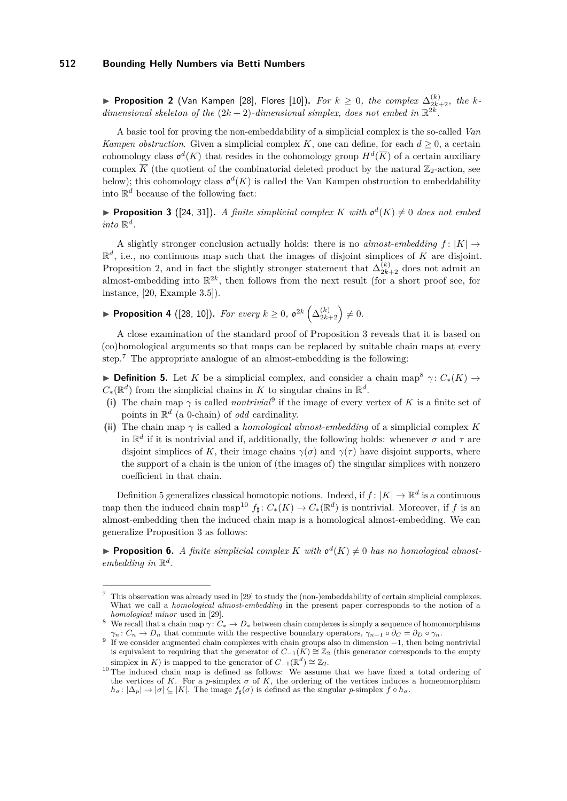<span id="page-5-0"></span>▶ Proposition 2 (Van Kampen [\[28\]](#page-14-11), Flores [\[10\]](#page-13-13)). *For*  $k ≥ 0$ *, the complex*  $\Delta_{2k+2}^{(k)}$ *, the kdimensional skeleton of the*  $(2k + 2)$ -dimensional simplex, does not embed in  $\mathbb{R}^{2k}$ .

A basic tool for proving the non-embeddability of a simplicial complex is the so-called *Van Kampen obstruction*. Given a simplicial complex *K*, one can define, for each  $d \geq 0$ , a certain cohomology class  $\mathfrak{o}^d(K)$  that resides in the cohomology group  $H^d(\overline{K})$  of a certain auxiliary complex  $\overline{K}$  (the quotient of the combinatorial deleted product by the natural  $\mathbb{Z}_2$ -action, see below); this cohomology class  $\mathfrak{o}^d(K)$  is called the Van Kampen obstruction to embeddability into  $\mathbb{R}^d$  because of the following fact:

<span id="page-5-1"></span>**Proposition 3** ([\[24,](#page-14-12) [31\]](#page-14-13)). A finite simplicial complex K with  $\mathfrak{o}^d(K) \neq 0$  does not embed *into*  $\mathbb{R}^d$ .

A slightly stronger conclusion actually holds: there is no *almost-embedding*  $f: |K| \rightarrow$  $\mathbb{R}^d$ , i.e., no continuous map such that the images of disjoint simplices of *K* are disjoint. Proposition [2,](#page-5-0) and in fact the slightly stronger statement that  $\Delta_{2k+2}^{(k)}$  does not admit an almost-embedding into  $\mathbb{R}^{2k}$ , then follows from the next result (for a short proof see, for instance, [\[20,](#page-14-14) Example 3.5]).

<span id="page-5-7"></span>▶ Proposition 4 ([\[28,](#page-14-11) [10\]](#page-13-13)). *For every*  $k ≥ 0$ ,  $o^{2k}(\Delta_{2k+2}^{(k)}) ≠ 0$ .

A close examination of the standard proof of Proposition [3](#page-5-1) reveals that it is based on (co)homological arguments so that maps can be replaced by suitable chain maps at every step.[7](#page-5-2) The appropriate analogue of an almost-embedding is the following:

<span id="page-5-5"></span>**Definition 5.** Let *K* be a simplicial complex, and consider a chain map<sup>[8](#page-5-3)</sup>  $\gamma$ :  $C_*(K) \rightarrow$  $C_*(\mathbb{R}^d)$  from the simplicial chains in *K* to singular chains in  $\mathbb{R}^d$ .

- (i) The chain map  $\gamma$  is called *nontrivial*<sup>[9](#page-5-4)</sup> if the image of every vertex of K is a finite set of points in R *d* (a 0-chain) of *odd* cardinality.
- (ii) The chain map  $\gamma$  is called a *homological almost-embedding* of a simplicial complex *K* in  $\mathbb{R}^d$  if it is nontrivial and if, additionally, the following holds: whenever  $\sigma$  and  $\tau$  are disjoint simplices of *K*, their image chains  $\gamma(\sigma)$  and  $\gamma(\tau)$  have disjoint supports, where the support of a chain is the union of (the images of) the singular simplices with nonzero coefficient in that chain.

Definition [5](#page-5-5) generalizes classical homotopic notions. Indeed, if  $f: |K| \to \mathbb{R}^d$  is a continuous map then the induced chain map<sup>[10](#page-5-6)</sup>  $f_{\sharp}: C_{*}(K) \to C_{*}(\mathbb{R}^{d})$  is nontrivial. Moreover, if f is an almost-embedding then the induced chain map is a homological almost-embedding. We can generalize Proposition [3](#page-5-1) as follows:

<span id="page-5-8"></span>**Proposition 6.** *A finite simplicial complex K with*  $\mathfrak{o}^d(K) \neq 0$  *has no homological almostembedding* in  $\mathbb{R}^d$ .

<span id="page-5-2"></span><sup>7</sup> This observation was already used in [\[29\]](#page-14-4) to study the (non-)embeddability of certain simplicial complexes. What we call a *homological almost-embedding* in the present paper corresponds to the notion of a *homological minor* used in [\[29\]](#page-14-4).

<span id="page-5-3"></span><sup>&</sup>lt;sup>8</sup> We recall that a chain map  $\gamma: C_* \to D_*$  between chain complexes is simply a sequence of homomorphisms *γ*<sub>*n*</sub> :  $C_n \to D_n$  that commute with the respective boundary operators,  $\gamma_{n-1} \circ \partial_C = \partial_D \circ \gamma_n$ .

<span id="page-5-4"></span><sup>9</sup> If we consider augmented chain complexes with chain groups also in dimension −1, then being nontrivial is equivalent to requiring that the generator of  $C_{-1}(K) \cong \mathbb{Z}_2$  (this generator corresponds to the empty simplex in *K*) is mapped to the generator of  $C_{-1}(\mathbb{R}^d) \cong \mathbb{Z}_2$ .

<span id="page-5-6"></span> $10$  The induced chain map is defined as follows: We assume that we have fixed a total ordering of the vertices of *K*. For a *p*-simplex  $\sigma$  of *K*, the ordering of the vertices induces a homeomorphism  $h_{\sigma}: |\Delta_p| \to |\sigma| \subseteq |K|$ . The image  $f_{\sharp}(\sigma)$  is defined as the singular *p*-simplex  $f \circ h_{\sigma}$ .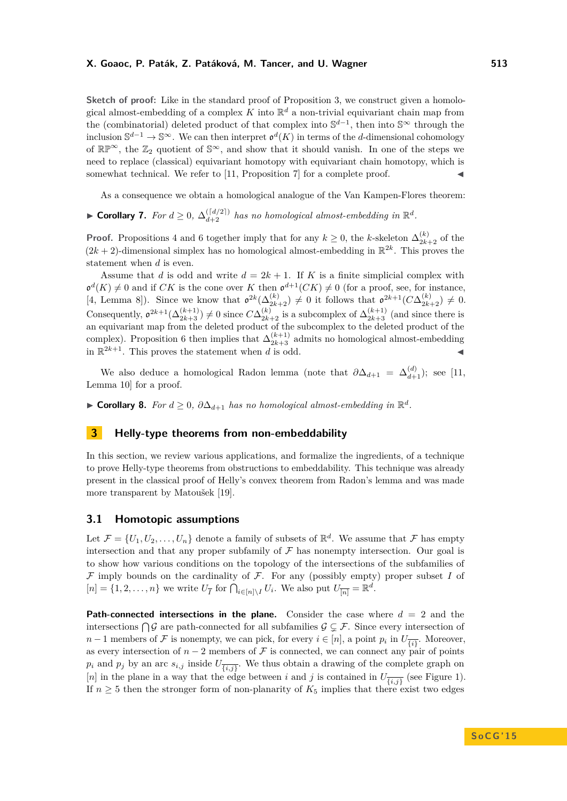**Sketch of proof:** Like in the standard proof of Proposition [3,](#page-5-1) we construct given a homological almost-embedding of a complex  $K$  into  $\mathbb{R}^d$  a non-trivial equivariant chain map from the (combinatorial) deleted product of that complex into  $\mathbb{S}^{d-1}$ , then into  $\mathbb{S}^{\infty}$  through the inclusion  $\mathbb{S}^{d-1}$  →  $\mathbb{S}^{\infty}$ . We can then interpret  $\mathfrak{o}^d(K)$  in terms of the *d*-dimensional cohomology of  $\mathbb{RP}^{\infty}$ , the  $\mathbb{Z}_2$  quotient of  $\mathbb{S}^{\infty}$ , and show that it should vanish. In one of the steps we need to replace (classical) equivariant homotopy with equivariant chain homotopy, which is somewhat technical. We refer to  $[11,$  Proposition  $7$  for a complete proof.

As a consequence we obtain a homological analogue of the Van Kampen-Flores theorem:

<span id="page-6-0"></span>▶ Corollary 7. For  $d \geq 0$ ,  $\Delta_{d+2}^{([d/2])}$  has no homological almost-embedding in  $\mathbb{R}^d$ .

**Proof.** Propositions [4](#page-5-7) and [6](#page-5-8) together imply that for any  $k \geq 0$ , the *k*-skeleton  $\Delta_{2k+2}^{(k)}$  of the  $(2k+2)$ -dimensional simplex has no homological almost-embedding in  $\mathbb{R}^{2k}$ . This proves the statement when *d* is even.

Assume that *d* is odd and write  $d = 2k + 1$ . If *K* is a finite simplicial complex with  $\mathfrak{o}^d(K) \neq 0$  and if *CK* is the cone over *K* then  $\mathfrak{o}^{d+1}(CK) \neq 0$  (for a proof, see, for instance, [\[4,](#page-13-14) Lemma 8]). Since we know that  $\mathfrak{o}^{2k}(\Delta_{2k+2}^{(k)}) \neq 0$  it follows that  $\mathfrak{o}^{2k+1}(C\Delta_{2k+2}^{(k)}) \neq 0$ . Consequently,  $\mathfrak{o}^{2k+1}(\Delta_{2k+3}^{(k+1)}) \neq 0$  since  $C\Delta_{2k+2}^{(k)}$  is a subcomplex of  $\Delta_{2k+3}^{(k+1)}$  (and since there is an equivariant map from the deleted product of the subcomplex to the deleted product of the complex). Proposition [6](#page-5-8) then implies that  $\Delta_{2k+3}^{(k+1)}$  admits no homological almost-embedding in  $\mathbb{R}^{2k+1}$ . This proves the statement when *d* is odd.

We also deduce a homological Radon lemma (note that  $\partial \Delta_{d+1} = \Delta_{d+1}^{(d)}$ ); see [\[11,](#page-13-12) Lemma 10] for a proof.

<span id="page-6-1"></span>▶ **Corollary 8.** *For*  $d \geq 0$ ,  $\partial \Delta_{d+1}$  *has no homological almost-embedding in*  $\mathbb{R}^d$ .

### <span id="page-6-2"></span>**3 Helly-type theorems from non-embeddability**

In this section, we review various applications, and formalize the ingredients, of a technique to prove Helly-type theorems from obstructions to embeddability. This technique was already present in the classical proof of Helly's convex theorem from Radon's lemma and was made more transparent by Matoušek [\[19\]](#page-14-3).

### **3.1 Homotopic assumptions**

Let  $\mathcal{F} = \{U_1, U_2, \ldots, U_n\}$  denote a family of subsets of  $\mathbb{R}^d$ . We assume that  $\mathcal{F}$  has empty intersection and that any proper subfamily of  $\mathcal F$  has nonempty intersection. Our goal is to show how various conditions on the topology of the intersections of the subfamilies of  $\mathcal F$  imply bounds on the cardinality of  $\mathcal F$ . For any (possibly empty) proper subset  $I$  of  $[n] = \{1, 2, \ldots, n\}$  we write  $U_{\overline{I}}$  for  $\bigcap_{i \in [n] \setminus I} U_i$ . We also put  $U_{\overline{[n]}} = \mathbb{R}^d$ .

**Path-connected intersections in the plane.** Consider the case where  $d = 2$  and the intersections  $\bigcap \mathcal{G}$  are path-connected for all subfamilies  $\mathcal{G} \subsetneq \mathcal{F}$ . Since every intersection of *n* − 1 members of  $\mathcal F$  is nonempty, we can pick, for every  $i \in [n]$ , a point  $p_i$  in  $U_{\overline{\{i\}}}$ . Moreover, as every intersection of  $n-2$  members of F is connected, we can connect any pair of points  $p_i$  and  $p_j$  by an arc  $s_{i,j}$  inside  $U_{\overline{\{i,j\}}}$ . We thus obtain a drawing of the complete graph on [*n*] in the plane in a way that the edge between *i* and *j* is contained in  $U_{\overline{\{i,j\}}}$  (see Figure [1\)](#page-7-0). If  $n \geq 5$  then the stronger form of non-planarity of  $K_5$  implies that there exist two edges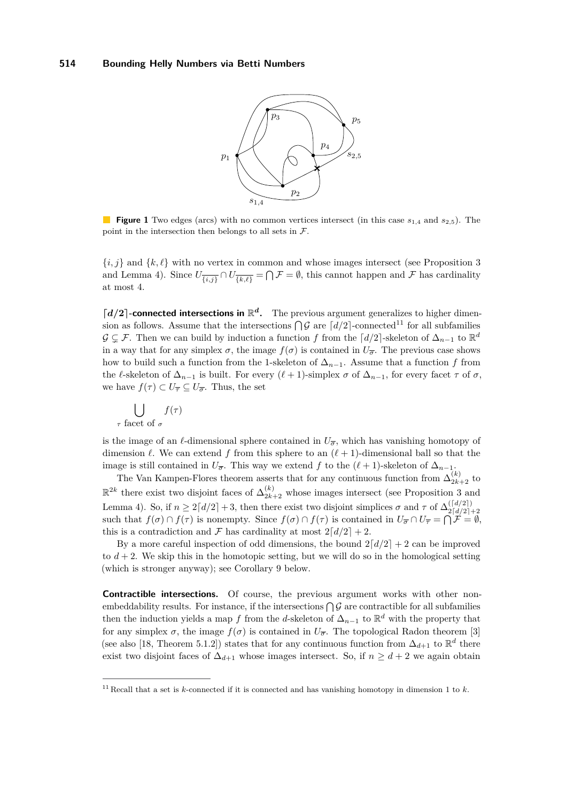<span id="page-7-0"></span>

**Figure 1** Two edges (arcs) with no common vertices intersect (in this case *s*1*,*<sup>4</sup> and *s*2*,*5). The point in the intersection then belongs to all sets in  $\mathcal{F}$ .

 ${i,j}$  and  ${k,\ell}$  with no vertex in common and whose images intersect (see Proposition [3](#page-5-1)) and Lemma [4\)](#page-5-7). Since  $U_{\overline{\{i,j\}}} \cap U_{\overline{\{k,\ell\}}} = \bigcap \mathcal{F} = \emptyset$ , this cannot happen and  $\mathcal F$  has cardinality at most 4.

 $\lceil d/2 \rceil$ -connected intersections in  $\mathbb{R}^d$ . The previous argument generalizes to higher dimension as follows. Assume that the intersections  $\bigcap \mathcal{G}$  are  $\lceil d/2 \rceil$ -connected<sup>[11](#page-7-1)</sup> for all subfamilies  $\mathcal{G} \subsetneq \mathcal{F}$ . Then we can build by induction a function *f* from the  $\lceil d/2 \rceil$ -skeleton of  $\Delta_{n-1}$  to  $\mathbb{R}^d$ in a way that for any simplex  $\sigma$ , the image  $f(\sigma)$  is contained in  $U_{\overline{\sigma}}$ . The previous case shows how to build such a function from the 1-skeleton of  $\Delta_{n-1}$ . Assume that a function *f* from the  $\ell$ -skeleton of  $\Delta_{n-1}$  is built. For every  $(\ell + 1)$ -simplex  $\sigma$  of  $\Delta_{n-1}$ , for every facet  $\tau$  of  $\sigma$ , we have  $f(\tau) \subset U_{\overline{\tau}} \subseteq U_{\overline{\sigma}}$ . Thus, the set

$$
\bigcup_{\tau \text{ facet of } \sigma} f(\tau)
$$

is the image of an  $\ell$ -dimensional sphere contained in  $U_{\overline{\sigma}}$ , which has vanishing homotopy of dimension  $\ell$ . We can extend f from this sphere to an  $(\ell + 1)$ -dimensional ball so that the image is still contained in  $U_{\overline{\sigma}}$ . This way we extend *f* to the  $(\ell + 1)$ -skeleton of  $\Delta_{n-1}$ .<br>(*k*) The Van Kampan Elegan theorem accepts that for any continuous function from  $\Delta_{\ell}^{(k)}$ .

The Van Kampen-Flores theorem asserts that for any continuous function from  $\Delta_{2k+2}^{(\kappa)}$  to  $\mathbb{R}^{2k}$  there exist two disjoint faces of  $\Delta_{2k+2}^{(k)}$  whose images intersect (see Proposition [3](#page-5-1) and Lemma [4\)](#page-5-7). So, if  $n \geq 2\lceil d/2 \rceil + 3$ , then there exist two disjoint simplices  $\sigma$  and  $\tau$  of  $\Delta_{2\lceil d/2 \rceil}^{\lfloor d/2 \rfloor}$ Economic 4): So, if  $n \ge 2\lfloor a/2 \rfloor + 3$ , then there exist two disjoint simplices *θ* and *l* of  $\Delta_2[\frac{d}{2}]+2$ <br>such that  $f(\sigma) \cap f(\tau)$  is nonempty. Since  $f(\sigma) \cap f(\tau)$  is contained in  $U_{\overline{\sigma}} \cap U_{\overline{\tau}} = \bigcap \mathcal{F} = \emptyset$ , this is a contradiction and  $\mathcal F$  has cardinality at most  $2\lceil d/2 \rceil + 2$ .

By a more careful inspection of odd dimensions, the bound  $2\lceil d/2 \rceil + 2$  can be improved to  $d + 2$ . We skip this in the homotopic setting, but we will do so in the homological setting (which is stronger anyway); see Corollary [9](#page-8-1) below.

**Contractible intersections.** Of course, the previous argument works with other nonembeddability results. For instance, if the intersections  $\bigcap \mathcal{G}$  are contractible for all subfamilies then the induction yields a map *f* from the *d*-skeleton of  $\Delta_{n-1}$  to  $\mathbb{R}^d$  with the property that for any simplex  $\sigma$ , the image  $f(\sigma)$  is contained in  $U_{\overline{\sigma}}$ . The topological Radon theorem [\[3\]](#page-13-15) (see also [\[18,](#page-14-5) Theorem 5.1.2]) states that for any continuous function from  $\Delta_{d+1}$  to  $\mathbb{R}^d$  there exist two disjoint faces of  $\Delta_{d+1}$  whose images intersect. So, if  $n \geq d+2$  we again obtain

<span id="page-7-1"></span><sup>11</sup> Recall that a set is *k*-connected if it is connected and has vanishing homotopy in dimension 1 to *k*.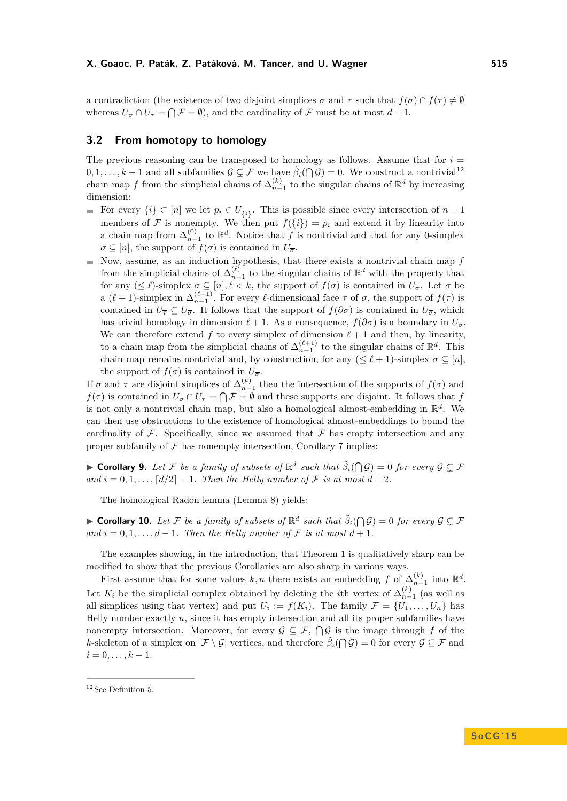a contradiction (the existence of two disjoint simplices  $\sigma$  and  $\tau$  such that  $f(\sigma) \cap f(\tau) \neq \emptyset$ whereas  $U_{\overline{\sigma}} \cap U_{\overline{\tau}} = \bigcap \mathcal{F} = \emptyset$ , and the cardinality of  $\mathcal F$  must be at most  $d+1$ .

### **3.2 From homotopy to homology**

The previous reasoning can be transposed to homology as follows. Assume that for  $i =$  $0,1,\ldots,k-1$  and all subfamilies  $\mathcal{G} \subsetneq \mathcal{F}$  we have  $\tilde{\beta}_i(\bigcap \mathcal{G}) = 0$ . We construct a nontrivial<sup>[12](#page-8-2)</sup> chain map *f* from the simplicial chains of  $\Delta_{n-1}^{(k)}$  to the singular chains of  $\mathbb{R}^d$  by increasing dimension:

- For every  $\{i\} \subset [n]$  we let  $p_i \in U_{\overline{\{i\}}}$ . This is possible since every intersection of  $n-1$  $\mathcal{L}_{\mathcal{A}}$ members of F is nonempty. We then put  $f({i}) = p_i$  and extend it by linearity into a chain map from  $\Delta_{n-1}^{(0)}$  to  $\mathbb{R}^d$ . Notice that *f* is nontrivial and that for any 0-simplex  $\sigma \subseteq [n]$ , the support of  $f(\sigma)$  is contained in  $U_{\overline{\sigma}}$ .
- Now, assume, as an induction hypothesis, that there exists a nontrivial chain map  $f$ from the simplicial chains of  $\Delta_{n-1}^{(\ell)}$  to the singular chains of  $\mathbb{R}^d$  with the property that for any  $(\leq \ell)$ -simplex  $\sigma \subseteq [n], \ell < k$ , the support of  $f(\sigma)$  is contained in  $U_{\overline{\sigma}}$ . Let  $\sigma$  be a  $(\ell + 1)$ -simplex in  $\Delta_{n-1}^{(\ell+1)}$ . For every  $\ell$ -dimensional face  $\tau$  of  $\sigma$ , the support of  $f(\tau)$  is contained in  $U_{\overline{\tau}} \subseteq U_{\overline{\sigma}}$ . It follows that the support of  $f(\partial \sigma)$  is contained in  $U_{\overline{\sigma}}$ , which has trivial homology in dimension  $\ell + 1$ . As a consequence,  $f(\partial \sigma)$  is a boundary in  $U_{\overline{\sigma}}$ . We can therefore extend  $f$  to every simplex of dimension  $\ell + 1$  and then, by linearity, to a chain map from the simplicial chains of  $\Delta_{n-1}^{(\ell+1)}$  to the singular chains of  $\mathbb{R}^d$ . This chain map remains nontrivial and, by construction, for any  $(\leq \ell + 1)$ -simplex  $\sigma \subset [n]$ . the support of  $f(\sigma)$  is contained in  $U_{\overline{\sigma}}$ .

If *σ* and *τ* are disjoint simplices of  $\Delta_{n-1}^{(k)}$  then the intersection of the supports of  $f(\sigma)$  and  $f(\tau)$  is contained in  $U_{\overline{\sigma}} \cap U_{\overline{\tau}} = \bigcap \mathcal{F} = \emptyset$  and these supports are disjoint. It follows that *f* is not only a nontrivial chain map, but also a homological almost-embedding in R *d* . We can then use obstructions to the existence of homological almost-embeddings to bound the cardinality of  $\mathcal F$ . Specifically, since we assumed that  $\mathcal F$  has empty intersection and any proper subfamily of  $\mathcal F$  has nonempty intersection, Corollary [7](#page-6-0) implies:

<span id="page-8-1"></span>**Corollary 9.** Let F be a family of subsets of  $\mathbb{R}^d$  such that  $\tilde{\beta}_i(\bigcap \mathcal{G}) = 0$  for every  $\mathcal{G} \subsetneq \mathcal{F}$ *and*  $i = 0, 1, \ldots, \lceil d/2 \rceil - 1$ *. Then the Helly number of*  $\mathcal F$  *is at most*  $d + 2$ *.* 

The homological Radon lemma (Lemma [8\)](#page-6-1) yields:

<span id="page-8-0"></span>**Corollary 10.** Let F be a family of subsets of  $\mathbb{R}^d$  such that  $\tilde{\beta}_i(\bigcap \mathcal{G}) = 0$  for every  $\mathcal{G} \subsetneq \mathcal{F}$ *and*  $i = 0, 1, \ldots, d - 1$ *. Then the Helly number of*  $\mathcal F$  *is at most*  $d + 1$ *.* 

The examples showing, in the introduction, that Theorem [1](#page-1-0) is qualitatively sharp can be modified to show that the previous Corollaries are also sharp in various ways.

First assume that for some values  $k, n$  there exists an embedding  $f$  of  $\Delta_{n-1}^{(k)}$  into  $\mathbb{R}^d$ . Let  $K_i$  be the simplicial complex obtained by deleting the *i*th vertex of  $\Delta_{n-1}^{(k)}$  (as well as all simplices using that vertex) and put  $U_i := f(K_i)$ . The family  $\mathcal{F} = \{U_1, \ldots, U_n\}$  has Helly number exactly *n*, since it has empty intersection and all its proper subfamilies have nonempty intersection. Moreover, for every  $\mathcal{G} \subseteq \mathcal{F}, \bigcap \mathcal{G}$  is the image through f of the *k*-skeleton of a simplex on  $|\mathcal{F} \setminus \mathcal{G}|$  vertices, and therefore  $\tilde{\beta}_i(\bigcap \mathcal{G}) = 0$  for every  $\mathcal{G} \subseteq \mathcal{F}$  and  $i = 0, \ldots, k - 1.$ 

<span id="page-8-2"></span> $12$  See Definition [5.](#page-5-5)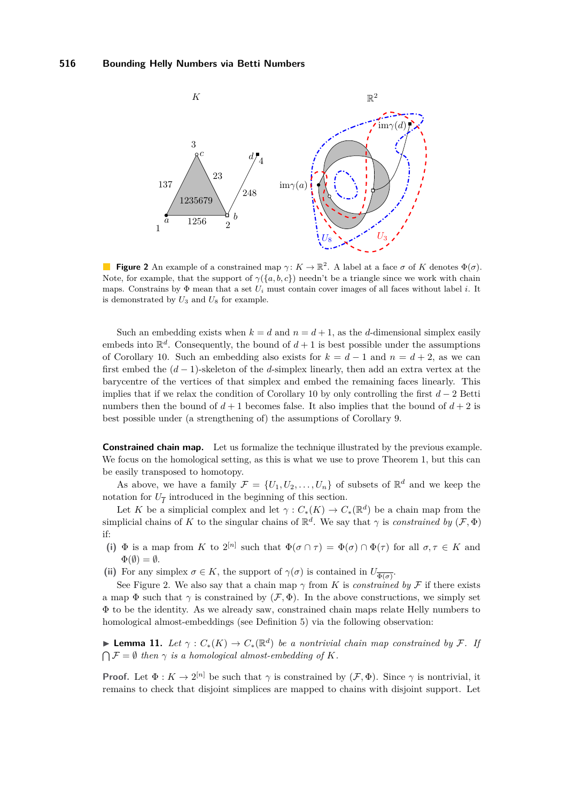<span id="page-9-0"></span>

**Figure 2** An example of a constrained map  $\gamma: K \to \mathbb{R}^2$ . A label at a face  $\sigma$  of *K* denotes  $\Phi(\sigma)$ . Note, for example, that the support of  $\gamma({a,b,c})$  needn't be a triangle since we work with chain maps. Constrains by  $\Phi$  mean that a set  $U_i$  must contain cover images of all faces without label *i*. It is demonstrated by  $U_3$  and  $U_8$  for example.

Such an embedding exists when  $k = d$  and  $n = d + 1$ , as the *d*-dimensional simplex easily embeds into  $\mathbb{R}^d$ . Consequently, the bound of  $d+1$  is best possible under the assumptions of Corollary [10.](#page-8-0) Such an embedding also exists for  $k = d - 1$  and  $n = d + 2$ , as we can first embed the (*d* − 1)-skeleton of the *d*-simplex linearly, then add an extra vertex at the barycentre of the vertices of that simplex and embed the remaining faces linearly. This implies that if we relax the condition of Corollary [10](#page-8-0) by only controlling the first *d* − 2 Betti numbers then the bound of  $d+1$  becomes false. It also implies that the bound of  $d+2$  is best possible under (a strengthening of) the assumptions of Corollary [9.](#page-8-1)

**Constrained chain map.** Let us formalize the technique illustrated by the previous example. We focus on the homological setting, as this is what we use to prove Theorem [1,](#page-1-0) but this can be easily transposed to homotopy.

As above, we have a family  $\mathcal{F} = \{U_1, U_2, \ldots, U_n\}$  of subsets of  $\mathbb{R}^d$  and we keep the notation for  $U_{\overline{I}}$  introduced in the beginning of this section.

Let *K* be a simplicial complex and let  $\gamma$  :  $C_*(K) \to C_*(\mathbb{R}^d)$  be a chain map from the simplicial chains of *K* to the singular chains of  $\mathbb{R}^d$ . We say that  $\gamma$  is *constrained by*  $(\mathcal{F}, \Phi)$ if:

- (i)  $\Phi$  is a map from *K* to  $2^{[n]}$  such that  $\Phi(\sigma \cap \tau) = \Phi(\sigma) \cap \Phi(\tau)$  for all  $\sigma, \tau \in K$  and  $\Phi(\emptyset) = \emptyset.$
- (ii) For any simplex  $\sigma \in K$ , the support of  $\gamma(\sigma)$  is contained in  $U_{\overline{\Phi(\sigma)}}$ .

See Figure [2.](#page-9-0) We also say that a chain map  $\gamma$  from *K* is *constrained by* F if there exists a map  $\Phi$  such that  $\gamma$  is constrained by  $(\mathcal{F}, \Phi)$ . In the above constructions, we simply set Φ to be the identity. As we already saw, constrained chain maps relate Helly numbers to homological almost-embeddings (see Definition [5\)](#page-5-5) via the following observation:

<span id="page-9-1"></span>**► Lemma 11.** Let  $\gamma$  :  $C_*(K) \to C_*(\mathbb{R}^d)$  be a nontrivial chain map constrained by F. If  $\bigcap \mathcal{F} = \emptyset$  *then*  $\gamma$  *is a homological almost-embedding of K.* 

**Proof.** Let  $\Phi: K \to 2^{[n]}$  be such that  $\gamma$  is constrained by  $(\mathcal{F}, \Phi)$ . Since  $\gamma$  is nontrivial, it remains to check that disjoint simplices are mapped to chains with disjoint support. Let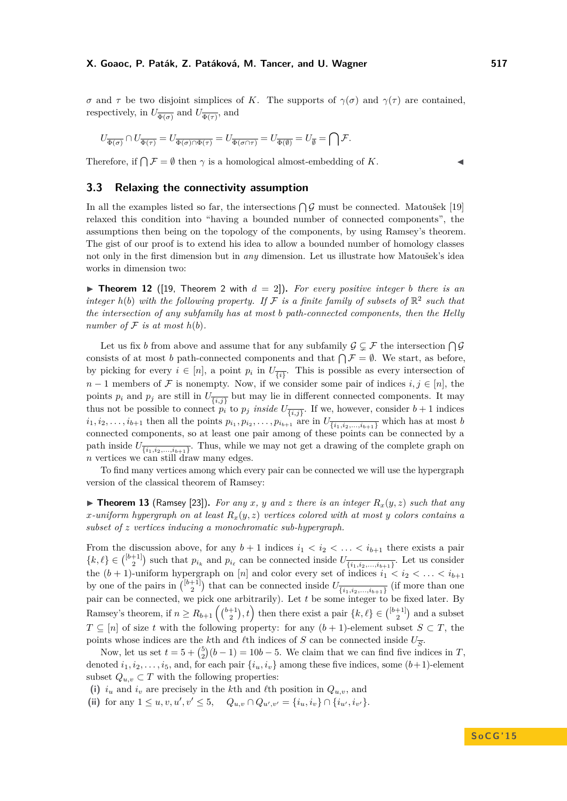*σ* and *τ* be two disjoint simplices of *K*. The supports of  $γ(σ)$  and  $γ(τ)$  are contained, respectively, in  $U_{\overline{\Phi(\sigma)}}$  and  $U_{\overline{\Phi(\tau)}}$ , and

$$
U_{\overline{\Phi(\sigma)}}\cap U_{\overline{\Phi(\tau)}}=U_{\overline{\Phi(\sigma)\cap\Phi(\tau)}}=U_{\overline{\Phi(\sigma\cap\tau)}}=U_{\overline{\Phi(\emptyset)}}=U_{\overline{\emptyset}}=\bigcap\mathcal{F}.
$$

Therefore, if  $\bigcap \mathcal{F} = \emptyset$  then  $\gamma$  is a homological almost-embedding of *K*.

<span id="page-10-0"></span>**3.3 Relaxing the connectivity assumption**

In all the examples listed so far, the intersections  $\bigcap \mathcal{G}$  must be connected. Matoušek [\[19\]](#page-14-3) relaxed this condition into "having a bounded number of connected components", the assumptions then being on the topology of the components, by using Ramsey's theorem. The gist of our proof is to extend his idea to allow a bounded number of homology classes not only in the first dimension but in *any* dimension. Let us illustrate how Matoušek's idea works in dimension two:

 $\triangleright$  **Theorem 12** ([\[19,](#page-14-3) Theorem 2 with  $d = 2$ ]). For every positive integer *b* there is an *integer*  $h(b)$  *with the following property. If*  $\mathcal F$  *is a finite family of subsets of*  $\mathbb{R}^2$  *such that the intersection of any subfamily has at most b path-connected components, then the Helly number of*  $F$  *is at most*  $h(b)$ *.* 

Let us fix *b* from above and assume that for any subfamily  $\mathcal{G} \subsetneq \mathcal{F}$  the intersection  $\bigcap \mathcal{G}$ consists of at most *b* path-connected components and that  $\bigcap \mathcal{F} = \emptyset$ . We start, as before, by picking for every  $i \in [n]$ , a point  $p_i$  in  $U_{\overline{\{i\}}}$ . This is possible as every intersection of *n* − 1 members of  $\mathcal F$  is nonempty. Now, if we consider some pair of indices  $i, j \in [n]$ , the points  $p_i$  and  $p_j$  are still in  $U_{\overline{\{i,j\}}}$  but may lie in different connected components. It may thus not be possible to connect  $p_i$  to  $p_j$  *inside*  $U_{\overline{\{i,j\}}}$ . If we, however, consider  $b+1$  indices  $i_1, i_2, \ldots, i_{b+1}$  then all the points  $p_{i_1}, p_{i_2}, \ldots, p_{i_{b+1}}$  are in  $U_{\overline{\{i_1, i_2, \ldots, i_{b+1}\}}}$  which has at most b connected components, so at least one pair among of these points can be connected by a path inside  $U_{\overline{\{i_1,i_2,...,i_{b+1}\}}}$ . Thus, while we may not get a drawing of the complete graph on *n* vertices we can still draw many edges.

To find many vertices among which every pair can be connected we will use the hypergraph version of the classical theorem of Ramsey:

 $\triangleright$  **Theorem 13** (Ramsey [\[23\]](#page-14-15)). For any x, y and z there is an integer  $R_x(y, z)$  such that any *x*-uniform hypergraph on at least  $R_x(y, z)$  vertices colored with at most y colors contains a *subset of z vertices inducing a monochromatic sub-hypergraph.*

From the discussion above, for any  $b+1$  indices  $i_1 < i_2 < \ldots < i_{b+1}$  there exists a pair  $\{k, \ell\} \in \binom{[b+1]}{2}$  such that  $p_{i_k}$  and  $p_{i_\ell}$  can be connected inside  $U_{\overline{\{i_1, i_2, ..., i_{b+1}\}}}$ . Let us consider the  $(b + 1)$ -uniform hypergraph on [*n*] and color every set of indices  $i_1 < i_2 < \ldots < i_{b+1}$ by one of the pairs in  $\binom{[b+1]}{2}$  that can be connected inside  $U_{\overline{\{i_1,i_2,...,i_{b+1}\}}}$  (if more than one pair can be connected, we pick one arbitrarily). Let *t* be some integer to be fixed later. By Ramsey's theorem, if  $n \ge R_{b+1} \left( {b+1 \choose 2}, t \right)$  then there exist a pair  $\{k, \ell\} \in {b+1 \choose 2}$  and a subset *T* ⊆ [*n*] of size *t* with the following property: for any  $(b + 1)$ -element subset *S* ⊂ *T*, the points whose indices are the *k*<sup>th</sup> and *l*<sup>th</sup> indices of *S* can be connected inside  $U_{\overline{S}}$ .

Now, let us set  $t = 5 + {5 \choose 2}(b-1) = 10b - 5$ . We claim that we can find five indices in *T*, denoted  $i_1, i_2, \ldots, i_5$ , and, for each pair  $\{i_u, i_v\}$  among these five indices, some  $(b+1)$ -element subset  $Q_{u,v} \subset T$  with the following properties:

- (i)  $i_u$  and  $i_v$  are precisely in the *k*th and *l*th position in  $Q_{u,v}$ , and
- (ii) for any  $1 \leq u, v, u', v' \leq 5$ ,  $Q_{u,v} \cap Q_{u',v'} = \{i_u, i_v\} \cap \{i_{u'}, i_{v'}\}.$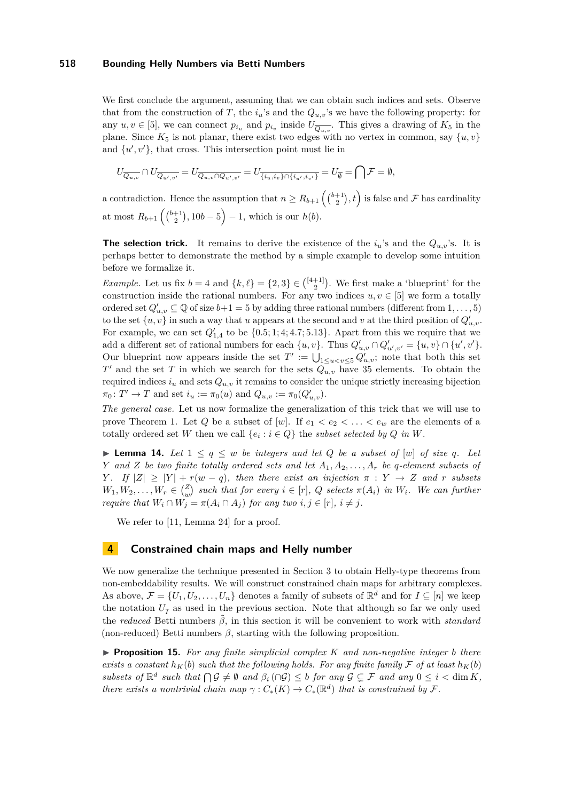We first conclude the argument, assuming that we can obtain such indices and sets. Observe that from the construction of *T*, the  $i_u$ 's and the  $Q_{u,v}$ 's we have the following property: for any  $u, v \in [5]$ , we can connect  $p_{i_u}$  and  $p_{i_v}$  inside  $U_{\overline{Q_{u,v}}}$ . This gives a drawing of  $K_5$  in the plane. Since  $K_5$  is not planar, there exist two edges with no vertex in common, say  $\{u, v\}$ and  $\{u', v'\}$ , that cross. This intersection point must lie in

$$
U_{\overline{Q_{u,v}}}\cap U_{\overline{Q_{u',v'}}}=U_{\overline{Q_{u,v}\cap Q_{u',v'}}}=U_{\overline{\{i_u,i_v\}\cap\{i_{u'},i_{v'}\}}} = U_{\overline{\emptyset}}=\bigcap_{v'}\mathcal{F}=\emptyset,
$$

a contradiction. Hence the assumption that  $n \geq R_{b+1} \left( \binom{b+1}{2}, t \right)$  is false and  $\mathcal F$  has cardinality at most  $R_{b+1}$   $\left( {b+1 \choose 2}, 10b-5 \right) - 1$ , which is our  $h(b)$ .

**The selection trick.** It remains to derive the existence of the  $i_u$ 's and the  $Q_{u,v}$ 's. It is perhaps better to demonstrate the method by a simple example to develop some intuition before we formalize it.

*Example.* Let us fix  $b = 4$  and  $\{k, \ell\} = \{2, 3\} \in \binom{[4+1]}{2}$ . We first make a 'blueprint' for the construction inside the rational numbers. For any two indices  $u, v \in [5]$  we form a totally ordered set  $Q'_{u,v} \subseteq \mathbb{Q}$  of size  $b+1 = 5$  by adding three rational numbers (different from  $1, \ldots, 5$ ) to the set  $\{u, v\}$  in such a way that *u* appears at the second and *v* at the third position of  $Q'_{u,v}$ . For example, we can set  $Q'_{1,4}$  to be  $\{0.5; 1; 4; 4.7; 5.13\}$ . Apart from this we require that we add a different set of rational numbers for each  $\{u, v\}$ . Thus  $Q'_{u,v} \cap Q'_{u',v'} = \{u, v\} \cap \{u', v'\}$ . Our blueprint now appears inside the set  $T' := \bigcup_{1 \le u < v \le 5} Q'_{u,v}$ ; note that both this set *T*<sup> $\prime$ </sup> and the set *T* in which we search for the sets  $Q_{u,v}$  have 35 elements. To obtain the required indices  $i_u$  and sets  $Q_{u,v}$  it remains to consider the unique strictly increasing bijection  $\pi_0: T' \to T$  and set  $i_u := \pi_0(u)$  and  $Q_{u,v} := \pi_0(Q'_{u,v})$ .

*The general case.* Let us now formalize the generalization of this trick that we will use to prove Theorem [1.](#page-1-0) Let Q be a subset of [w]. If  $e_1 < e_2 < \ldots < e_w$  are the elements of a totally ordered set *W* then we call  $\{e_i : i \in Q\}$  the *subset selected by Q in W*.

▶ **Lemma 14.** Let  $1 \leq q \leq w$  be integers and let Q be a subset of  $[w]$  of size q. Let *Y and Z be two finite totally ordered sets and let A*1*, A*2*, . . . , A<sup>r</sup> be q-element subsets of Y*. If  $|Z| \geq |Y| + r(w - q)$ , then there exist an injection  $\pi : Y \to Z$  and *r* subsets  $W_1, W_2, \ldots, W_r \in {Z \choose w}$  such that for every  $i \in [r]$ , Q selects  $\pi(A_i)$  in  $W_i$ . We can further *require that*  $W_i \cap W_j = \pi(A_i \cap A_j)$  *for any two*  $i, j \in [r], i \neq j$ .

We refer to [\[11,](#page-13-12) Lemma 24] for a proof.

### <span id="page-11-0"></span>**4 Constrained chain maps and Helly number**

We now generalize the technique presented in Section [3](#page-6-2) to obtain Helly-type theorems from non-embeddability results. We will construct constrained chain maps for arbitrary complexes. As above,  $\mathcal{F} = \{U_1, U_2, \ldots, U_n\}$  denotes a family of subsets of  $\mathbb{R}^d$  and for  $I \subseteq [n]$  we keep the notation  $U_{\overline{I}}$  as used in the previous section. Note that although so far we only used the *reduced* Betti numbers  $\tilde{\beta}$ , in this section it will be convenient to work with *standard* (non-reduced) Betti numbers  $\beta$ , starting with the following proposition.

<span id="page-11-1"></span> $\triangleright$  **Proposition 15.** For any finite simplicial complex K and non-negative integer *b* there *exists a constant*  $h_K(b)$  *such that the following holds. For any finite family*  $\mathcal F$  *of at least*  $h_K(b)$ *subsets of*  $\mathbb{R}^d$  *such that*  $\bigcap \mathcal{G} \neq \emptyset$  *and*  $\beta_i(\bigcap \mathcal{G}) \leq b$  *for any*  $\mathcal{G} \subsetneq \mathcal{F}$  *and any*  $0 \leq i < \dim K$ , *there exists a nontrivial chain map*  $\gamma: C_*(K) \to C_*(\mathbb{R}^d)$  *that is constrained by* F.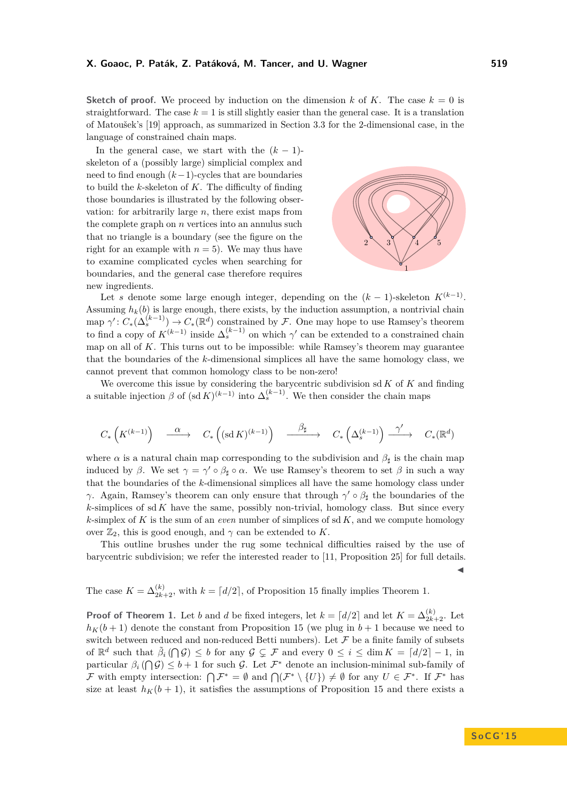**Sketch of proof.** We proceed by induction on the dimension k of K. The case  $k = 0$  is straightforward. The case  $k = 1$  is still slightly easier than the general case. It is a translation of Matoušek's [\[19\]](#page-14-3) approach, as summarized in Section [3.3](#page-10-0) for the 2-dimensional case, in the language of constrained chain maps.

In the general case, we start with the  $(k-1)$ skeleton of a (possibly large) simplicial complex and need to find enough (*k*−1)-cycles that are boundaries to build the *k*-skeleton of *K*. The difficulty of finding those boundaries is illustrated by the following observation: for arbitrarily large *n*, there exist maps from the complete graph on *n* vertices into an annulus such that no triangle is a boundary (see the figure on the right for an example with  $n = 5$ ). We may thus have to examine complicated cycles when searching for boundaries, and the general case therefore requires new ingredients.



Let *s* denote some large enough integer, depending on the  $(k-1)$ -skeleton  $K^{(k-1)}$ . Assuming  $h_k(b)$  is large enough, there exists, by the induction assumption, a nontrivial chain  $\text{map } \gamma' : C_*(\Delta_s^{(k-1)}) \to C_*(\mathbb{R}^d)$  constrained by F. One may hope to use Ramsey's theorem to find a copy of  $K^{(k-1)}$  inside  $\Delta_s^{(k-1)}$  on which  $\gamma'$  can be extended to a constrained chain map on all of *K*. This turns out to be impossible: while Ramsey's theorem may guarantee that the boundaries of the *k*-dimensional simplices all have the same homology class, we cannot prevent that common homology class to be non-zero!

We overcome this issue by considering the barycentric subdivision sd *K* of *K* and finding a suitable injection  $\beta$  of  $(\text{sd } K)^{(k-1)}$  into  $\Delta_s^{(k-1)}$ . We then consider the chain maps

$$
C_*\left(K^{(k-1)}\right) \quad \overset{\alpha}{\longrightarrow} \quad C_*\left( (\text{sd}\, K)^{(k-1)}\right) \quad \overset{\beta_\sharp}{\longrightarrow} \quad C_*\left(\Delta_s^{(k-1)}\right) \overset{\gamma'}{\longrightarrow} \quad C_*({\mathbb R}^d)
$$

where  $\alpha$  is a natural chain map corresponding to the subdivision and  $\beta_{\sharp}$  is the chain map induced by *β*. We set  $\gamma = \gamma' \circ \beta_{\sharp} \circ \alpha$ . We use Ramsey's theorem to set *β* in such a way that the boundaries of the *k*-dimensional simplices all have the same homology class under *γ*. Again, Ramsey's theorem can only ensure that through  $\gamma' \circ \beta_{\sharp}$  the boundaries of the *k*-simplices of sd *K* have the same, possibly non-trivial, homology class. But since every *k*-simplex of *K* is the sum of an *even* number of simplices of sd *K*, and we compute homology over  $\mathbb{Z}_2$ , this is good enough, and  $\gamma$  can be extended to *K*.

This outline brushes under the rug some technical difficulties raised by the use of barycentric subdivision; we refer the interested reader to [\[11,](#page-13-12) Proposition 25] for full details.  $\blacktriangleleft$ 

The case  $K = \Delta_{2k+2}^{(k)}$ , with  $k = \lfloor d/2 \rfloor$ , of Proposition [15](#page-11-1) finally implies Theorem [1.](#page-1-0)

**Proof of Theorem [1.](#page-1-0)** Let *b* and *d* be fixed integers, let  $k = \lfloor d/2 \rfloor$  and let  $K = \Delta_{2k+2}^{(k)}$ . Let  $h_K(b+1)$  denote the constant from Proposition [15](#page-11-1) (we plug in  $b+1$  because we need to switch between reduced and non-reduced Betti numbers). Let  $\mathcal F$  be a finite family of subsets of  $\mathbb{R}^d$  such that  $\tilde{\beta}_i(\bigcap \mathcal{G}) \leq b$  for any  $\mathcal{G} \subsetneq \mathcal{F}$  and every  $0 \leq i \leq \dim K = \lceil d/2 \rceil - 1$ , in particular  $\beta_i(\bigcap \mathcal{G}) \leq b+1$  for such  $\mathcal{G}$ . Let  $\mathcal{F}^*$  denote an inclusion-minimal sub-family of F with empty intersection:  $\bigcap \mathcal{F}^* = \emptyset$  and  $\bigcap (\mathcal{F}^* \setminus \{U\}) \neq \emptyset$  for any  $U \in \mathcal{F}^*$ . If  $\mathcal{F}^*$  has size at least  $h_K(b+1)$ , it satisfies the assumptions of Proposition [15](#page-11-1) and there exists a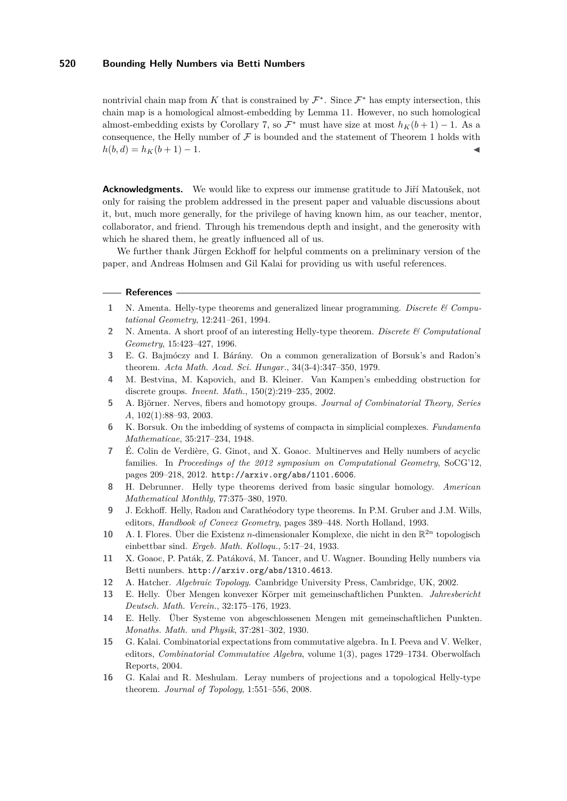nontrivial chain map from K that is constrained by  $\mathcal{F}^*$ . Since  $\mathcal{F}^*$  has empty intersection, this chain map is a homological almost-embedding by Lemma [11.](#page-9-1) However, no such homological almost-embedding exists by Corollary [7,](#page-6-0) so  $\mathcal{F}^*$  must have size at most  $h_K(b+1) - 1$ . As a consequence, the Helly number of  $\mathcal F$  is bounded and the statement of Theorem [1](#page-1-0) holds with  $h(b,d) = h<sub>K</sub>(b+1) - 1.$ 

**Acknowledgments.** We would like to express our immense gratitude to Jiří Matoušek, not only for raising the problem addressed in the present paper and valuable discussions about it, but, much more generally, for the privilege of having known him, as our teacher, mentor, collaborator, and friend. Through his tremendous depth and insight, and the generosity with which he shared them, he greatly influenced all of us.

We further thank Jürgen Eckhoff for helpful comments on a preliminary version of the paper, and Andreas Holmsen and Gil Kalai for providing us with useful references.

#### **- References**

- <span id="page-13-2"></span>**1** N. Amenta. Helly-type theorems and generalized linear programming. *Discrete & Computational Geometry*, 12:241–261, 1994.
- <span id="page-13-8"></span>**2** N. Amenta. A short proof of an interesting Helly-type theorem. *Discrete & Computational Geometry*, 15:423–427, 1996.
- <span id="page-13-15"></span>**3** E. G. Bajmóczy and I. Bárány. On a common generalization of Borsuk's and Radon's theorem. *Acta Math. Acad. Sci. Hungar.*, 34(3-4):347–350, 1979.
- <span id="page-13-14"></span>**4** M. Bestvina, M. Kapovich, and B. Kleiner. Van Kampen's embedding obstruction for discrete groups. *Invent. Math.*, 150(2):219–235, 2002.
- <span id="page-13-6"></span>**5** A. Björner. Nerves, fibers and homotopy groups. *Journal of Combinatorial Theory, Series A*, 102(1):88–93, 2003.
- <span id="page-13-5"></span>**6** K. Borsuk. On the imbedding of systems of compacta in simplicial complexes. *Fundamenta Mathematicae*, 35:217–234, 1948.
- <span id="page-13-10"></span>**7** É. Colin de Verdière, G. Ginot, and X. Goaoc. Multinerves and Helly numbers of acyclic families. In *Proceedings of the 2012 symposium on Computational Geometry*, SoCG'12, pages 209–218, 2012. <http://arxiv.org/abs/1101.6006>.
- <span id="page-13-4"></span>**8** H. Debrunner. Helly type theorems derived from basic singular homology. *American Mathematical Monthly*, 77:375–380, 1970.
- <span id="page-13-1"></span>**9** J. Eckhoff. Helly, Radon and Carathéodory type theorems. In P.M. Gruber and J.M. Wills, editors, *Handbook of Convex Geometry*, pages 389–448. North Holland, 1993.
- <span id="page-13-13"></span>**10** A. I. Flores. Über die Existenz *n*-dimensionaler Komplexe, die nicht in den R <sup>2</sup>*<sup>n</sup>* topologisch einbettbar sind. *Ergeb. Math. Kolloqu.*, 5:17–24, 1933.
- <span id="page-13-12"></span>**11** X. Goaoc, P. Paták, Z. Patáková, M. Tancer, and U. Wagner. Bounding Helly numbers via Betti numbers. <http://arxiv.org/abs/1310.4613>.
- <span id="page-13-7"></span>**12** A. Hatcher. *Algebraic Topology*. Cambridge University Press, Cambridge, UK, 2002.
- <span id="page-13-0"></span>**13** E. Helly. Über Mengen konvexer Körper mit gemeinschaftlichen Punkten. *Jahresbericht Deutsch. Math. Verein.*, 32:175–176, 1923.
- <span id="page-13-3"></span>**14** E. Helly. Über Systeme von abgeschlossenen Mengen mit gemeinschaftlichen Punkten. *Monaths. Math. und Physik*, 37:281–302, 1930.
- <span id="page-13-11"></span>**15** G. Kalai. Combinatorial expectations from commutative algebra. In I. Peeva and V. Welker, editors, *Combinatorial Commutative Algebra*, volume 1(3), pages 1729–1734. Oberwolfach Reports, 2004.
- <span id="page-13-9"></span>**16** G. Kalai and R. Meshulam. Leray numbers of projections and a topological Helly-type theorem. *Journal of Topology*, 1:551–556, 2008.